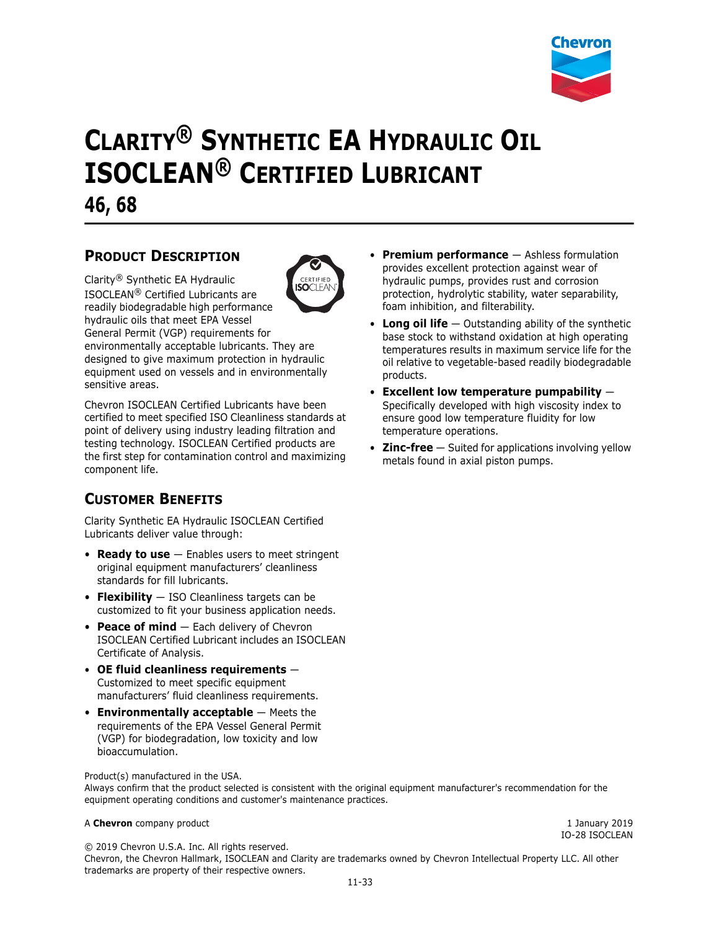

# **CLARITY® SYNTHETIC EA HYDRAULIC OIL ISOCLEAN® CERTIFIED LUBRICANT 46, 68**

## **PRODUCT DESCRIPTION**



Clarity® Synthetic EA Hydraulic ISOCLEAN® Certified Lubricants are readily biodegradable high performance hydraulic oils that meet EPA Vessel General Permit (VGP) requirements for environmentally acceptable lubricants. They are designed to give maximum protection in hydraulic equipment used on vessels and in environmentally sensitive areas.

Chevron ISOCLEAN Certified Lubricants have been certified to meet specified ISO Cleanliness standards at point of delivery using industry leading filtration and testing technology. ISOCLEAN Certified products are the first step for contamination control and maximizing component life.

## **CUSTOMER BENEFITS**

Clarity Synthetic EA Hydraulic ISOCLEAN Certified Lubricants deliver value through:

- **Ready to use** Enables users to meet stringent original equipment manufacturers' cleanliness standards for fill lubricants.
- **Flexibility** ISO Cleanliness targets can be customized to fit your business application needs.
- **Peace of mind** Each delivery of Chevron ISOCLEAN Certified Lubricant includes an ISOCLEAN Certificate of Analysis.
- **OE fluid cleanliness requirements** Customized to meet specific equipment manufacturers' fluid cleanliness requirements.
- **Environmentally acceptable** Meets the requirements of the EPA Vessel General Permit (VGP) for biodegradation, low toxicity and low bioaccumulation.

Product(s) manufactured in the USA.

Always confirm that the product selected is consistent with the original equipment manufacturer's recommendation for the equipment operating conditions and customer's maintenance practices.

#### A **Chevron** company product **1** A Chevron company product

© 2019 Chevron U.S.A. Inc. All rights reserved.

Chevron, the Chevron Hallmark, ISOCLEAN and Clarity are trademarks owned by Chevron Intellectual Property LLC. All other trademarks are property of their respective owners.

- **Premium performance**  Ashless formulation provides excellent protection against wear of hydraulic pumps, provides rust and corrosion protection, hydrolytic stability, water separability, foam inhibition, and filterability.
- **Long oil life** Outstanding ability of the synthetic base stock to withstand oxidation at high operating temperatures results in maximum service life for the oil relative to vegetable-based readily biodegradable products.
- **Excellent low temperature pumpability** Specifically developed with high viscosity index to ensure good low temperature fluidity for low temperature operations.
- **Zinc-free** Suited for applications involving yellow metals found in axial piston pumps.

IO-28 ISOCLEAN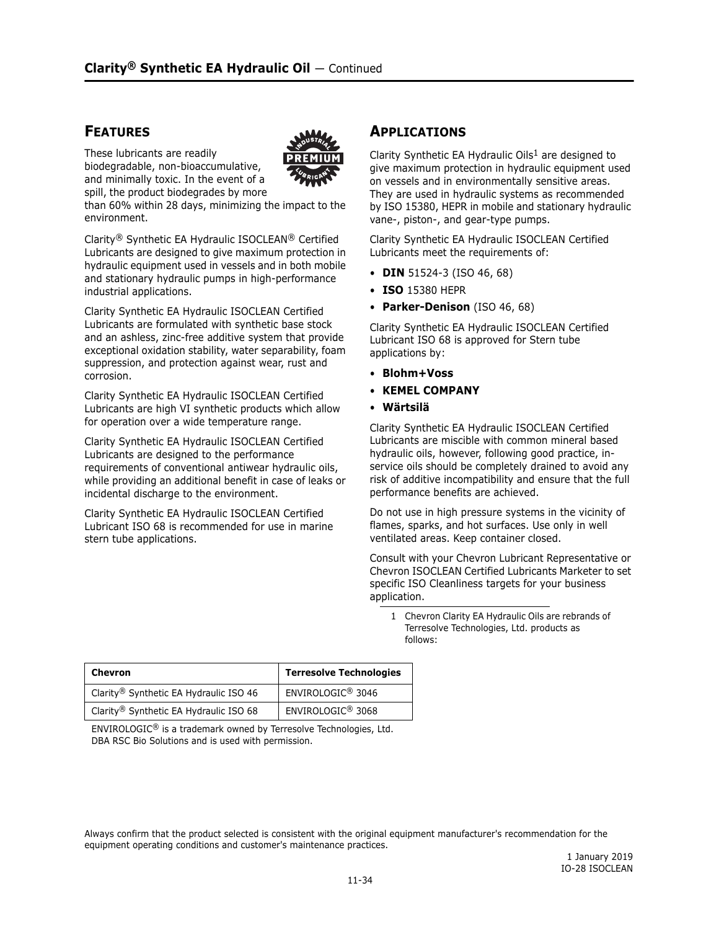### **FEATURES**

These lubricants are readily biodegradable, non-bioaccumulative, and minimally toxic. In the event of a spill, the product biodegrades by more



than 60% within 28 days, minimizing the impact to the environment.

Clarity® Synthetic EA Hydraulic ISOCLEAN® Certified Lubricants are designed to give maximum protection in hydraulic equipment used in vessels and in both mobile and stationary hydraulic pumps in high-performance industrial applications.

Clarity Synthetic EA Hydraulic ISOCLEAN Certified Lubricants are formulated with synthetic base stock and an ashless, zinc-free additive system that provide exceptional oxidation stability, water separability, foam suppression, and protection against wear, rust and corrosion.

Clarity Synthetic EA Hydraulic ISOCLEAN Certified Lubricants are high VI synthetic products which allow for operation over a wide temperature range.

Clarity Synthetic EA Hydraulic ISOCLEAN Certified Lubricants are designed to the performance requirements of conventional antiwear hydraulic oils, while providing an additional benefit in case of leaks or incidental discharge to the environment.

Clarity Synthetic EA Hydraulic ISOCLEAN Certified Lubricant ISO 68 is recommended for use in marine stern tube applications.

## **APPLICATIONS**

Clarity Synthetic EA Hydraulic Oils<sup>1</sup> are designed to give maximum protection in hydraulic equipment used on vessels and in environmentally sensitive areas. They are used in hydraulic systems as recommended by ISO 15380, HEPR in mobile and stationary hydraulic vane-, piston-, and gear-type pumps.

Clarity Synthetic EA Hydraulic ISOCLEAN Certified Lubricants meet the requirements of:

- **DIN** 51524-3 (ISO 46, 68)
- **ISO** 15380 HEPR
- **Parker-Denison** (ISO 46, 68)

Clarity Synthetic EA Hydraulic ISOCLEAN Certified Lubricant ISO 68 is approved for Stern tube applications by:

- **Blohm+Voss**
- **KEMEL COMPANY**
- **Wärtsilä**

Clarity Synthetic EA Hydraulic ISOCLEAN Certified Lubricants are miscible with common mineral based hydraulic oils, however, following good practice, inservice oils should be completely drained to avoid any risk of additive incompatibility and ensure that the full performance benefits are achieved.

Do not use in high pressure systems in the vicinity of flames, sparks, and hot surfaces. Use only in well ventilated areas. Keep container closed.

Consult with your Chevron Lubricant Representative or Chevron ISOCLEAN Certified Lubricants Marketer to set specific ISO Cleanliness targets for your business application.

<sup>1</sup> Chevron Clarity EA Hydraulic Oils are rebrands of Terresolve Technologies, Ltd. products as follows:

| Chevron                                | <b>Terresolve Technologies</b> |  |
|----------------------------------------|--------------------------------|--|
| Clarity® Synthetic EA Hydraulic ISO 46 | ENVIROLOGIC <sup>®</sup> 3046  |  |
| Clarity® Synthetic EA Hydraulic ISO 68 | ENVIROLOGIC <sup>®</sup> 3068  |  |

ENVIROLOGIC® is a trademark owned by Terresolve Technologies, Ltd. DBA RSC Bio Solutions and is used with permission.

Always confirm that the product selected is consistent with the original equipment manufacturer's recommendation for the equipment operating conditions and customer's maintenance practices.